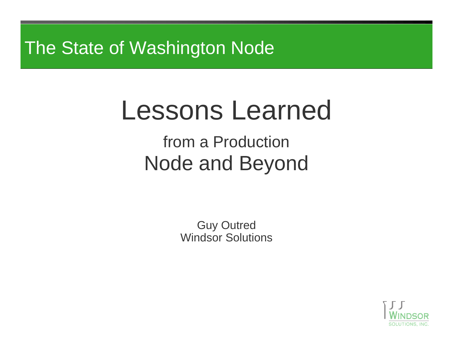# The State of Washington Node

# Lessons Learned from a ProductionNode and Beyond

Guy Outred Windsor Solutions

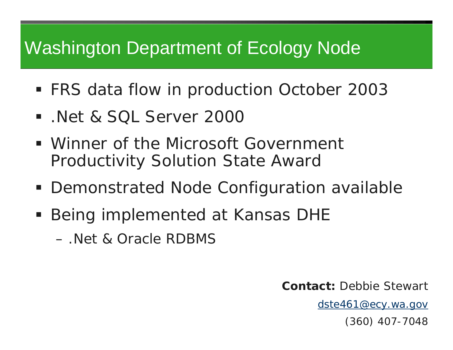# Washington Department of Ecology Node

- FRS data flow in production October 2003
- .Net & SQL Server 2000
- Winner of the Microsoft Government Productivity Solution State Award
- Demonstrated Node Configuration available
- **Being implemented at Kansas DHE** 
	- .Net & Oracle RDBMS

**Contact:** Debbie Stewart

[dste461@ecy.wa.gov](mailto:dste461@ecy.wa.gov)

(360) 407-7048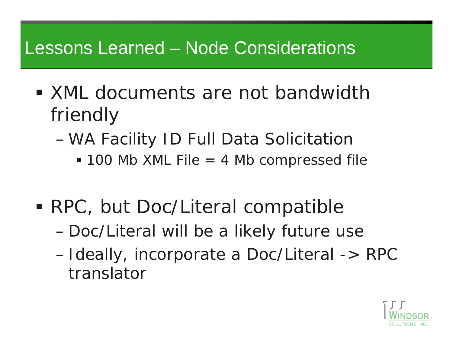# Lessons Learned – Node Considerations

- **XML** documents are not bandwidth friendly
	- WA Facility ID Full Data Solicitation
		- 100 Mb XML File = 4 Mb compressed file
- RPC, but Doc/Literal compatible
	- Doc/Literal will be a likely future use
	- $\mathcal{L}_{\mathcal{A}}$ -Ideally, incorporate a Doc/Literal -> RPC translator

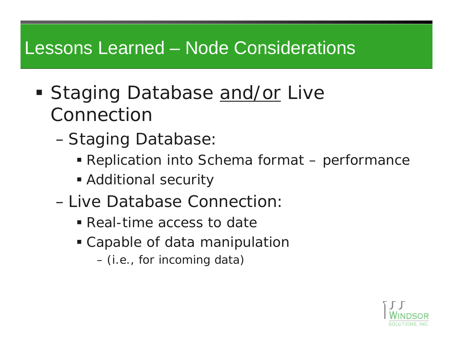# Lessons Learned – Node Considerations

- Staging Database and/or Live Connection
	- Staging Database:
		- Replication into Schema format performance
		- Additional security
	- –Live Database Connection:
		- Real-time access to date
		- Capable of data manipulation
			- (i.e., for incoming data)

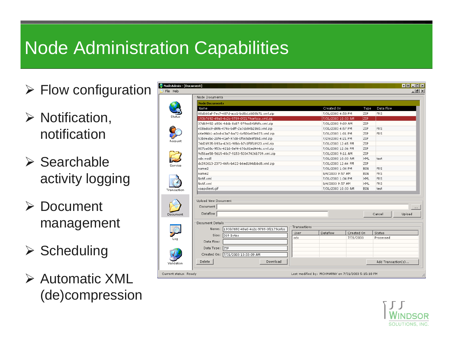# Node Administration Capabilities

- $\triangleright$  Flow configuration
- $\triangleright$  Notification, notification
- ¾ Searchable activity logging
- ¾ Document management
- $\triangleright$  Scheduling
- ¾ Automatic XML (de)compression

| NodeAdmin - [Document]<br>File Help          |                                              |              |                                                    |                                 |                    |            | $\begin{array}{c c c c c} \hline \textbf{a} & \textbf{b} & \textbf{c} & \textbf{b} \\ \hline \end{array}$<br>$-10 \times$ |  |
|----------------------------------------------|----------------------------------------------|--------------|----------------------------------------------------|---------------------------------|--------------------|------------|---------------------------------------------------------------------------------------------------------------------------|--|
| Node Documents                               |                                              |              |                                                    |                                 |                    |            |                                                                                                                           |  |
| <b>Node Documents</b>                        |                                              |              |                                                    |                                 |                    |            |                                                                                                                           |  |
| Name                                         |                                              |              | Created On                                         |                                 | Type               | Data Flow  |                                                                                                                           |  |
| 08d660af-7ec7-487d-acc1-bd8b1d608b71.xml.zip |                                              |              | 7/31/2003 4:58 PM                                  |                                 | ZIP                | <b>FRS</b> |                                                                                                                           |  |
| 193b7692-49a0-4c2c-9789-0f2179cefcca.xml.zip |                                              |              | 7/31/2003 10:33 AM                                 |                                 | ZIP                |            |                                                                                                                           |  |
| 37d69492-a906-4dcb-8c87-979ec54bf6fc.xml.zip |                                              |              | 7/31/2003 9:09 AM                                  |                                 | ZIP                |            |                                                                                                                           |  |
|                                              | 408adcc9-d4f6-474c-bdff-2a7cb84b2d60.xml.zip |              |                                                    | 7/31/2003 4:57 PM               |                    | <b>FRS</b> |                                                                                                                           |  |
|                                              | 46e9f4b1-a0cd-43a7-ba72-6c506e83e073.xml.zip |              |                                                    | 7/31/2003 1:01 PM               |                    | <b>FRS</b> |                                                                                                                           |  |
|                                              | 53b9eabc-20f4-41ef-97d8-0f565de8fd8d.xml.zip |              |                                                    | 7/29/2003 4:21 PM               |                    |            |                                                                                                                           |  |
| Account                                      | 74d2d935-b93a-4261-98bb-b7c1f5f18920.xml.zip |              |                                                    | 7/31/2003 12:45 PM              |                    |            |                                                                                                                           |  |
|                                              | 807ba08c-953c-4216-8ef4-676c01ed444c.xml.zip |              |                                                    | 7/31/2003 12:06 PM              |                    |            |                                                                                                                           |  |
|                                              | 9d56ae58-5615-40c7-9153-50347426b709.xml.zip |              |                                                    | 7/31/2003 9:11 AM               |                    |            |                                                                                                                           |  |
| cdx.wsdl                                     |                                              |              |                                                    | 7/31/2003 10:33 AM              | XML                | test       |                                                                                                                           |  |
| Service                                      | dc392613-2373-46fc-b422-b6ed184dbbd8.xml.zip |              |                                                    | 7/31/2003 12:44 PM              | ZIP                |            |                                                                                                                           |  |
| name2                                        |                                              |              |                                                    | 7/31/2003 1:34 PM               |                    | <b>FRS</b> |                                                                                                                           |  |
| name2                                        |                                              |              |                                                    | 8/4/2003 9:57 AM<br>BIN         |                    | <b>FRS</b> |                                                                                                                           |  |
| Notif.xml                                    |                                              |              |                                                    | 7/31/2003 1:34 PM<br><b>XML</b> |                    | <b>FRS</b> |                                                                                                                           |  |
| Notif.xml                                    |                                              |              |                                                    | 8/4/2003 9:57 AM<br><b>XML</b>  |                    | <b>FRS</b> |                                                                                                                           |  |
| soapclient.gif<br>Transaction                |                                              |              | 7/31/2003 10:33 AM                                 |                                 | <b>BIN</b>         | test       |                                                                                                                           |  |
| Upload New Document                          |                                              |              |                                                    |                                 |                    |            |                                                                                                                           |  |
| Document                                     |                                              |              |                                                    |                                 |                    |            | $\sim$                                                                                                                    |  |
| Dataflow<br>Document                         |                                              |              |                                                    |                                 |                    | Cancel     | Upload                                                                                                                    |  |
| Document Details                             |                                              |              |                                                    |                                 |                    |            |                                                                                                                           |  |
| 193b7692-49a0-4c2c-9789-0f2179cefcc<br>Name: |                                              | Transactions |                                                    |                                 |                    |            |                                                                                                                           |  |
| Size:                                        | User<br>369 Bytes                            |              | Dataflow                                           | Created On                      |                    | Status     |                                                                                                                           |  |
|                                              | cdx<br>Data Flow:                            |              |                                                    | 7/31/2003                       | Processed          |            |                                                                                                                           |  |
|                                              |                                              |              |                                                    |                                 |                    |            |                                                                                                                           |  |
| Data Type: ZIP                               |                                              |              |                                                    |                                 |                    |            |                                                                                                                           |  |
| Created On: 7/31/2003 10:33:09 AM            |                                              |              |                                                    |                                 |                    |            |                                                                                                                           |  |
| Delete<br>Validation                         | Download                                     |              |                                                    |                                 | Add Transaction(s) |            |                                                                                                                           |  |
| Current status: Ready                        |                                              |              | Last modified by: MCHMARNY on 7/31/2003 5:15:18 PM |                                 |                    |            |                                                                                                                           |  |

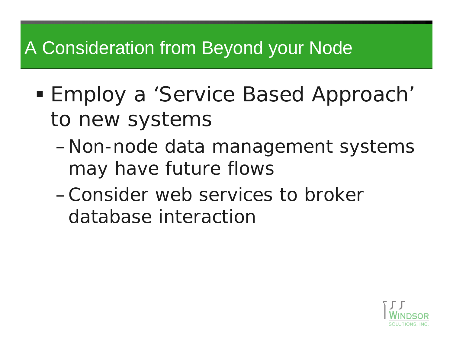# A Consideration from Beyond your Node

- Employ a 'Service Based Approach' to new systems
	- – Non-node data management systems may have future flows
	- –Consider web services to broker database interaction

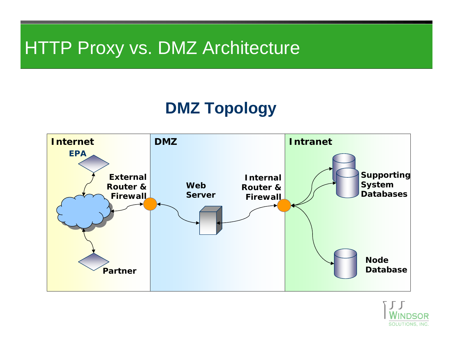# HTTP Proxy vs. DMZ Architecture

#### **DMZ Topology**